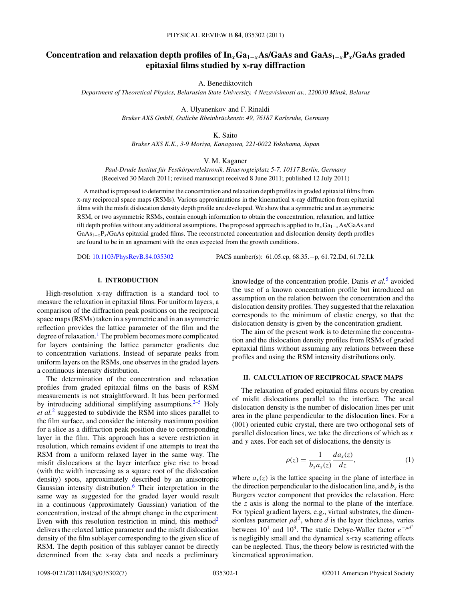# <span id="page-0-0"></span>**Concentration and relaxation depth profiles of In***x***Ga1−***<sup>x</sup>***As/GaAs and GaAs1−***<sup>x</sup>***P***x***/GaAs graded epitaxial films studied by x-ray diffraction**

A. Benediktovitch

*Department of Theoretical Physics, Belarusian State University, 4 Nezavisimosti av., 220030 Minsk, Belarus*

A. Ulyanenkov and F. Rinaldi

*Bruker AXS GmbH, Ostliche Rheinbr ¨ uckenstr. 49, 76187 Karlsruhe, Germany ¨*

K. Saito

*Bruker AXS K.K., 3-9 Moriya, Kanagawa, 221-0022 Yokohama, Japan*

V. M. Kaganer

*Paul-Drude Institut fur Festk ¨ orperelektronik, Hausvogteiplatz 5-7, 10117 Berlin, Germany ¨* (Received 30 March 2011; revised manuscript received 8 June 2011; published 12 July 2011)

A method is proposed to determine the concentration and relaxation depth profiles in graded epitaxial films from x-ray reciprocal space maps (RSMs). Various approximations in the kinematical x-ray diffraction from epitaxial films with the misfit dislocation density depth profile are developed. We show that a symmetric and an asymmetric RSM, or two asymmetric RSMs, contain enough information to obtain the concentration, relaxation, and lattice tilt depth profiles without any additional assumptions. The proposed approach is applied to In*x*Ga1<sup>−</sup>*x*As/GaAs and GaAs<sub>1−*x*</sub>P<sub>x</sub>/GaAs epitaxial graded films. The reconstructed concentration and dislocation density depth profiles are found to be in an agreement with the ones expected from the growth conditions.

DOI: [10.1103/PhysRevB.84.035302](http://dx.doi.org/10.1103/PhysRevB.84.035302) PACS number(s): 61*.*05*.*cp, 68*.*35*.*−p, 61*.*72*.*Dd, 61*.*72*.*Lk

# **I. INTRODUCTION**

High-resolution x-ray diffraction is a standard tool to measure the relaxation in epitaxial films. For uniform layers, a comparison of the diffraction peak positions on the reciprocal space maps (RSMs) taken in a symmetric and in an asymmetric reflection provides the lattice parameter of the film and the degree of relaxation.<sup>[1](#page-6-0)</sup> The problem becomes more complicated for layers containing the lattice parameter gradients due to concentration variations. Instead of separate peaks from uniform layers on the RSMs, one observes in the graded layers a continuous intensity distribution.

The determination of the concentration and relaxation profiles from graded epitaxial films on the basis of RSM measurements is not straightforward. It has been performed by introducing additional simplifying assumptions. $2-5$  Holy *et al.*[2](#page-6-0) suggested to subdivide the RSM into slices parallel to the film surface, and consider the intensity maximum position for a slice as a diffraction peak position due to corresponding layer in the film. This approach has a severe restriction in resolution, which remains evident if one attempts to treat the RSM from a uniform relaxed layer in the same way. The misfit dislocations at the layer interface give rise to broad (with the width increasing as a square root of the dislocation density) spots, approximately described by an anisotropic Gaussian intensity distribution.[6](#page-6-0) Their interpretation in the same way as suggested for the graded layer would result in a continuous (approximately Gaussian) variation of the concentration, instead of the abrupt change in the experiment. Even with this resolution restriction in mind, this method<sup>[2](#page-6-0)</sup> delivers the relaxed lattice parameter and the misfit dislocation density of the film sublayer corresponding to the given slice of RSM. The depth position of this sublayer cannot be directly determined from the x-ray data and needs a preliminary

knowledge of the concentration profile. Danis *et al.*[5](#page-6-0) avoided the use of a known concentration profile but introduced an assumption on the relation between the concentration and the dislocation density profiles. They suggested that the relaxation corresponds to the minimum of elastic energy, so that the dislocation density is given by the concentration gradient.

The aim of the present work is to determine the concentration and the dislocation density profiles from RSMs of graded epitaxial films without assuming any relations between these profiles and using the RSM intensity distributions only.

### **II. CALCULATION OF RECIPROCAL SPACE MAPS**

The relaxation of graded epitaxial films occurs by creation of misfit dislocations parallel to the interface. The areal dislocation density is the number of dislocation lines per unit area in the plane perpendicular to the dislocation lines. For a (001) oriented cubic crystal, there are two orthogonal sets of parallel dislocation lines, we take the directions of which as *x* and *y* axes. For each set of dislocations, the density is

$$
\rho(z) = \frac{1}{b_x a_x(z)} \frac{d a_x(z)}{dz},\tag{1}
$$

where  $a<sub>x</sub>(z)$  is the lattice spacing in the plane of interface in the direction perpendicular to the dislocation line, and  $b_x$  is the Burgers vector component that provides the relaxation. Here the *z* axis is along the normal to the plane of the interface. For typical gradient layers, e.g., virtual substrates, the dimensionless parameter  $\rho d^2$ , where *d* is the layer thickness, varies between  $10^1$  and  $10^3$ . The static Debye-Waller factor  $e^{-\rho d^2}$ is negligibly small and the dynamical x-ray scattering effects can be neglected. Thus, the theory below is restricted with the kinematical approximation.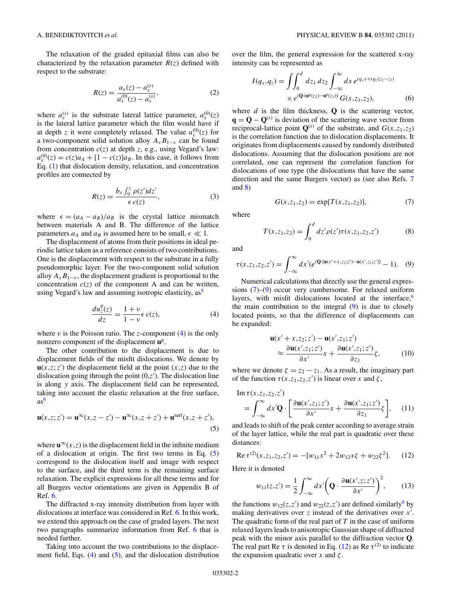<span id="page-1-0"></span>The relaxation of the graded epitaxial films can also be characterized by the relaxation parameter  $R(z)$  defined with respect to the substrate:

$$
R(z) = \frac{a_x(z) - a_x^{(s)}}{a_x^{(0)}(z) - a_x^{(s)}},
$$
\n(2)

where  $a_x^{(s)}$  is the substrate lateral lattice parameter,  $a_x^{(0)}(z)$ is the lateral lattice parameter which the film would have if at depth *z* it were completely relaxed. The value  $a_x^{(0)}(z)$  for a two-component solid solution alloy  $A_xB_{1-x}$  can be found from concentration *c*(*z*) at depth *z*, e.g., using Vegard's law:  $a_x^{(0)}(z) = c(z)a_A + [1 - c(z)]a_B$ . In this case, it follows from Eq. [\(1\)](#page-0-0) that dislocation density, relaxation, and concentration profiles are connected by

$$
R(z) = \frac{b_x \int_0^z \rho(z')dz'}{\epsilon c(z)},
$$
\n(3)

where  $\epsilon = (a_A - a_B)/a_B$  is the crystal lattice mismatch between materials A and B. The difference of the lattice parameters  $a_A$  and  $a_B$  is assumed here to be small,  $\epsilon \ll 1$ .

The displacement of atoms from their positions in ideal periodic lattice taken as a reference consists of two contributions. One is the displacement with respect to the substrate in a fully pseudomorphic layer. For the two-component solid solution alloy  $A_x B_{1-x}$ , the displacement gradient is proportional to the concentration  $c(z)$  of the component A and can be written, using Vegard's law and assuming isotropic elasticity,  $as<sup>5</sup>$  $as<sup>5</sup>$  $as<sup>5</sup>$ 

$$
\frac{du_z^p(z)}{dz} = \frac{1+\nu}{1-\nu}\epsilon\,c(z),\tag{4}
$$

where  $\nu$  is the Poisson ratio. The *z*-component (4) is the only nonzero component of the displacement **u**p.

The other contribution to the displacement is due to displacement fields of the misfit dislocations. We denote by  $\mathbf{u}(x, z; z')$  the displacement field at the point  $(x, z)$  due to the dislocation going through the point  $(0, z')$ . The dislocation line is along *y* axis. The displacement field can be represented, taking into account the elastic relaxation at the free surface, as<sup>b</sup>

$$
\mathbf{u}(x,z;z') = \mathbf{u}^{\infty}(x,z-z') - \mathbf{u}^{\infty}(x,z+z') + \mathbf{u}^{\text{surf}}(x,z+z'),
$$
\n(5)

where  $\mathbf{u}^{\infty}(x, z)$  is the displacement field in the infinite medium of a dislocation at origin. The first two terms in Eq. (5) correspond to the dislocation itself and image with respect to the surface, and the third term is the remaining surface relaxation. The explicit expressions for all these terms and for all Burgers vector orientations are given in Appendix B of Ref. [6.](#page-6-0)

The diffracted x-ray intensity distribution from layer with dislocations at interface was considered in Ref. [6.](#page-6-0) In this work, we extend this approach on the case of graded layers. The next two paragraphs summarize information from Ref. [6](#page-6-0) that is needed further.

Taking into account the two contributions to the displacement field, Eqs.  $(4)$  and  $(5)$ , and the dislocation distribution over the film, the general expression for the scattered x-ray intensity can be represented as

$$
I(q_x, q_z) = \int \int_0^d dz_1 dz_2 \int_{-\infty}^{\infty} dx \, e^{iq_x x + iq_z(z_2 - z_1)} \times e^{i\mathbf{Q} \cdot (\mathbf{u}^p(z_2) - \mathbf{u}^p(z_1))} G(x, z_1, z_2), \tag{6}
$$

where *d* is the film thickness, **Q** is the scattering vector,  $\mathbf{q} = \mathbf{Q} - \mathbf{Q}^{(s)}$  is deviation of the scattering wave vector from reciprocal-lattice point  $\mathbf{Q}^{(s)}$  of the substrate, and  $G(x, z_1, z_2)$ is the correlation function due to dislocation displacements. It originates from displacements caused by randomly distributed dislocations. Assuming that the dislocation positions are not correlated, one can represent the correlation function for dislocations of one type (the dislocations that have the same direction and the same Burgers vector) as (see also Refs. [7](#page-6-0) and  $8)$ 

$$
G(x, z_1, z_2) = \exp[T(x, z_1, z_2)],\tag{7}
$$

where

$$
T(x, z_1, z_2) = \int_0^d dz' \rho(z') \tau(x, z_1, z_2, z')
$$
 (8)

and

$$
\tau(x, z_1, z_2, z') = \int_{-\infty}^{\infty} dx' (e^{i\mathbf{Q} \cdot [\mathbf{u}(x' + x, z_2; z') - \mathbf{u}(x', z_1; z')] - 1). \quad (9)
$$

Numerical calculations that directly use the general expressions (7)–(9) occur very cumbersome. For relaxed uniform layers, with misfit dislocations located at the interface, $6$ the main contribution to the integral (9) is due to closely located points, so that the difference of displacements can be expanded:

$$
\mathbf{u}(x' + x, z_2; z') - \mathbf{u}(x', z_1; z')
$$
  
\n
$$
\approx \frac{\partial \mathbf{u}(x', z_1; z')}{\partial x'} x + \frac{\partial \mathbf{u}(x', z_1; z')}{\partial z_1} \zeta,
$$
 (10)

where we denote  $\zeta = z_2 - z_1$ . As a result, the imaginary part of the function  $τ(x, z_1, z_2, z')$  is linear over *x* and *ζ*,

$$
\operatorname{Im} \tau(x, z_1, z_2, z') = \int_{-\infty}^{\infty} dx' \mathbf{Q} \cdot \left[ \frac{\partial \mathbf{u}(x', z_1; z')}{\partial x'} x + \frac{\partial \mathbf{u}(x', z_1; z')}{\partial z_1} \zeta \right], \quad (11)
$$

and leads to shift of the peak center according to average strain of the layer lattice, while the real part is quadratic over these distances:

$$
\operatorname{Re}\tau^{(2)}(x,z_1,z_2,z') = -[w_{11}x^2 + 2w_{12}x\zeta + w_{22}\zeta^2].\tag{12}
$$

Here it is denoted

$$
w_{11}(z,z') = \frac{1}{2} \int_{-\infty}^{\infty} dx' \bigg( \mathbf{Q} \cdot \frac{\partial \mathbf{u}(x',z;z')}{\partial x'} \bigg)^2, \qquad (13)
$$

the functions  $w_{12}(z, z')$  and  $w_{22}(z, z')$  are defined similarly<sup>6</sup> by making derivatives over  $z$  instead of the derivatives over  $x'$ . The quadratic form of the real part of *T* in the case of uniform relaxed layers leads to anisotropic Gaussian shape of diffracted peak with the minor axis parallel to the diffraction vector **Q**. The real part Re  $\tau$  is denoted in Eq. (12) as Re  $\tau^{(2)}$  to indicate the expansion quadratic over  $x$  and  $\zeta$ .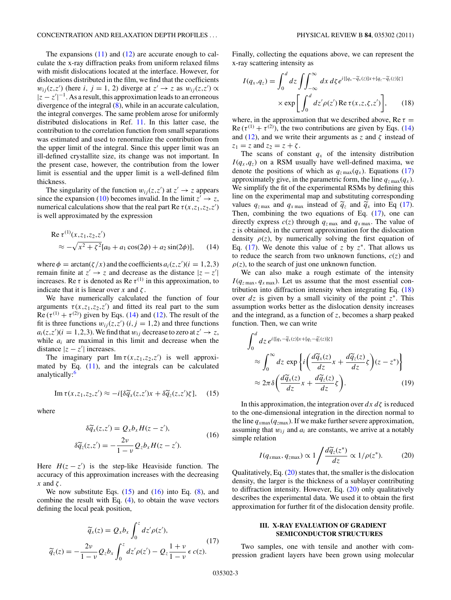<span id="page-2-0"></span>The expansions  $(11)$  and  $(12)$  are accurate enough to calculate the x-ray diffraction peaks from uniform relaxed films with misfit dislocations located at the interface. However, for dislocations distributed in the film, we find that the coefficients  $w_{ij}(z, z')$  (here *i*, *j* = 1, 2) diverge at  $z' \rightarrow z$  as  $w_{ij}(z, z') \propto$  $|z - z'|^{-1}$ . As a result, this approximation leads to an erroneous divergence of the integral [\(8\)](#page-1-0), while in an accurate calculation, the integral converges. The same problem arose for uniformly distributed dislocations in Ref. [11.](#page-6-0) In this latter case, the contribution to the correlation function from small separations was estimated and used to renormalize the contribution from the upper limit of the integral. Since this upper limit was an ill-defined crystallite size, its change was not important. In the present case, however, the contribution from the lower limit is essential and the upper limit is a well-defined film thickness.

The singularity of the function  $w_{ij}(z, z')$  at  $z' \rightarrow z$  appears since the expansion [\(10\)](#page-1-0) becomes invalid. In the limit  $z' \rightarrow z$ , numerical calculations show that the real part Re  $\tau(x, z_1, z_2, z')$ is well approximated by the expression

Re 
$$
\tau^{(1)}(x, z_1, z_2, z')
$$
  
\n $\approx -\sqrt{x^2 + \zeta^2} [a_0 + a_1 \cos(2\phi) + a_2 \sin(2\phi)],$  (14)

where  $\phi = \arctan(\zeta/x)$  and the coefficients  $a_i(z, z')$  ( $i = 1, 2, 3$ ) remain finite at  $z' \rightarrow z$  and decrease as the distance  $|z - z'|$ increases. Re  $\tau$  is denoted as Re  $\tau^{(1)}$  in this approximation, to indicate that it is linear over *x* and *ζ* .

We have numerically calculated the function of four arguments  $\tau(x, z_1, z_2, z')$  and fitted its real part to the sum Re  $(\tau^{(1)} + \tau^{(2)})$  given by Eqs. (14) and [\(12\)](#page-1-0). The result of the fit is three functions  $w_{ij}(z, z')$   $(i, j = 1, 2)$  and three functions  $a_i(z, z')$  ( $i = 1, 2, 3$ ). We find that  $w_{ij}$  decrease to zero at  $z' \rightarrow z$ , while *ai* are maximal in this limit and decrease when the distance  $|z - z'|$  increases.

The imaginary part  $\text{Im } \tau(x, z_1, z_2, z')$  is well approximated by Eq.  $(11)$ , and the integrals can be calculated analytically:<sup>[6](#page-6-0)</sup>

Im 
$$
\tau(x, z_1, z_2, z') \approx -i[\delta \widetilde{q}_x(z, z')x + \delta \widetilde{q}_z(z, z')\zeta],
$$
 (15)

where

$$
\delta \widetilde{q}_x(z, z') = Q_x b_x H(z - z'),
$$
  
\n
$$
\delta \widetilde{q}_z(z, z') = -\frac{2\nu}{1 - \nu} Q_z b_x H(z - z').
$$
\n(16)

Here  $H(z - z')$  is the step-like Heaviside function. The accuracy of this approximation increases with the decreasing *x* and *ζ* .

We now substitute Eqs.  $(15)$  and  $(16)$  into Eq.  $(8)$ , and combine the result with Eq. [\(4\)](#page-1-0), to obtain the wave vectors defining the local peak position,

$$
\widetilde{q}_x(z) = Q_x b_x \int_0^z dz' \rho(z'),
$$
  

$$
\widetilde{q}_z(z) = -\frac{2\nu}{1-\nu} Q_z b_x \int_0^z dz' \rho(z') - Q_z \frac{1+\nu}{1-\nu} \epsilon c(z).
$$
\n(17)

Finally, collecting the equations above, we can represent the x-ray scattering intensity as

$$
I(q_x, q_z) = \int_0^d dz \iint_{-\infty}^{\infty} dx \, d\zeta e^{i\{[q_x - \tilde{q}_x(z)]x + [q_z - \tilde{q}_z(z)]\zeta\}}
$$

$$
\times \exp\left[\int_0^d dz' \rho(z') \operatorname{Re} \tau(x, z, \zeta, z')\right], \qquad (18)
$$

where, in the approximation that we described above,  $\text{Re } \tau =$  $\text{Re}(\tau^{(1)} + \tau^{(2)})$ , the two contributions are given by Eqs. (14) and [\(12\)](#page-1-0), and we write their arguments as *z* and  $\zeta$  instead of  $z_1 = z$  and  $z_2 = z + \zeta$ .

The scans of constant  $q_x$  of the intensity distribution  $I(q_x, q_z)$  on a RSM usually have well-defined maxima, we denote the positions of which as  $q_{z \max}(q_x)$ . Equations (17) approximately give, in the parametric form, the line  $q_{z\,\text{max}}(q_x)$ . We simplify the fit of the experimental RSMs by defining this line on the experimental map and substituting corresponding values  $q_{z\,\text{max}}$  and  $q_{x\,\text{max}}$  instead of  $\tilde{q}_z$  and  $\tilde{q}_x$  into Eq (17). Then, combining the two equations of Eq. (17), one can directly express  $c(z)$  through  $q_{zmax}$  and  $q_{xmax}$ . The value of *z* is obtained, in the current approximation for the dislocation density  $\rho(z)$ , by numerically solving the first equation of Eq. (17). We denote this value of *z* by  $z^*$ . That allows us to reduce the search from two unknown functions, *c*(*z*) and  $\rho(z)$ , to the search of just one unknown function.

We can also make a rough estimate of the intensity  $I(q_{z\,\text{max}}, q_{x\,\text{max}})$ . Let us assume that the most essential contribution into diffraction intensity when integrating Eq. (18) over  $dz$  is given by a small vicinity of the point  $z^*$ . This assumption works better as the dislocation density increases and the integrand, as a function of *z*, becomes a sharp peaked function. Then, we can write

$$
\int_0^d dz \, e^{i\left\{[q_x - \widetilde{q}_x(z)]x + [q_z - \widetilde{q}_z(z)]\zeta\right\}} \approx \int_0^\infty dz \, \exp\left\{i\left(\frac{d\widetilde{q}_x(z)}{dz}x + \frac{d\widetilde{q}_z(z)}{dz}\zeta\right)(z - z^*)\right\} \approx 2\pi \delta\left(\frac{d\widetilde{q}_x(z)}{dz}x + \frac{d\widetilde{q}_z(z)}{dz}\zeta\right). \tag{19}
$$

In this approximation, the integration over  $dx\,d\zeta$  is reduced to the one-dimensional integration in the direction normal to the line  $q_{xmax}(q_{zmax})$ . If we make further severe approximation, assuming that  $w_{ij}$  and  $a_i$  are constants, we arrive at a notably simple relation

$$
I(q_{x\text{max}}, q_{z\text{max}}) \propto 1 / \frac{d\tilde{q}_z(z^*)}{dz} \propto 1/\rho(z^*). \tag{20}
$$

Qualitatively, Eq. (20) states that, the smaller is the dislocation density, the larger is the thickness of a sublayer contributing to diffraction intensity. However, Eq. (20) only qualitatively describes the experimental data. We used it to obtain the first approximation for further fit of the dislocation density profile.

### **III. X-RAY EVALUATION OF GRADIENT SEMICONDUCTOR STRUCTURES**

Two samples, one with tensile and another with compression gradient layers have been grown using molecular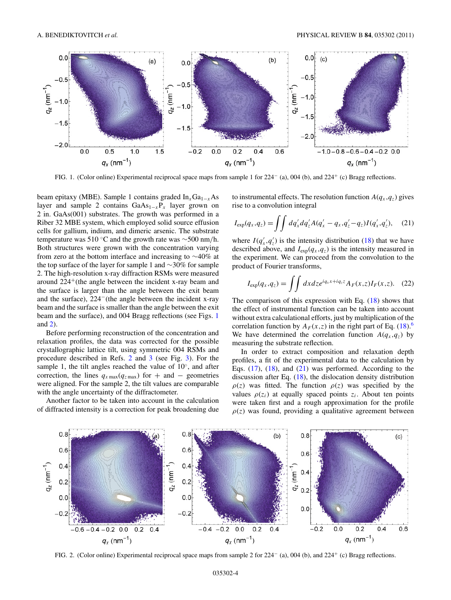

FIG. 1. (Color online) Experimental reciprocal space maps from sample 1 for 224<sup>−</sup> (a), 004 (b), and 224<sup>+</sup> (c) Bragg reflections.

beam epitaxy (MBE). Sample 1 contains graded  $\text{In}_x\text{Ga}_{1-x}\text{As}$ layer and sample 2 contains GaAs1<sup>−</sup>*x*P*<sup>x</sup>* layer grown on 2 in. GaAs(001) substrates. The growth was performed in a Riber 32 MBE system, which employed solid source effusion cells for gallium, indium, and dimeric arsenic. The substrate temperature was 510 ◦C and the growth rate was ∼500 nm*/*h. Both structures were grown with the concentration varying from zero at the bottom interface and increasing to ∼40% at the top surface of the layer for sample 1 and ∼30% for sample 2. The high-resolution x-ray diffraction RSMs were measured around  $224^+$ (the angle between the incident x-ray beam and the surface is larger than the angle between the exit beam and the surface), 224<sup>−</sup>(the angle between the incident x-ray beam and the surface is smaller than the angle between the exit beam and the surface), and 004 Bragg reflections (see Figs. 1 and 2).

Before performing reconstruction of the concentration and relaxation profiles, the data was corrected for the possible crystallographic lattice tilt, using symmetric 004 RSMs and procedure described in Refs. [2](#page-6-0) and [3](#page-6-0) (see Fig. [3\)](#page-4-0). For the sample 1, the tilt angles reached the value of  $10°$ , and after correction, the lines  $q_{x \max}(q_{z \max})$  for + and − geometries were aligned. For the sample 2, the tilt values are comparable with the angle uncertainty of the diffractometer.

Another factor to be taken into account in the calculation of diffracted intensity is a correction for peak broadening due to instrumental effects. The resolution function  $A(q_x, q_z)$  gives rise to a convolution integral

$$
I_{\exp}(q_x, q_z) = \iint dq'_x dq'_z A(q'_x - q_x, q'_z - q_z) I(q'_x, q'_z), \quad (21)
$$

where  $I(q'_x, q'_z)$  is the intensity distribution [\(18\)](#page-2-0) that we have described above, and  $I_{exp}(q_x, q_z)$  is the intensity measured in the experiment. We can proceed from the convolution to the product of Fourier transforms,

$$
I_{\exp}(q_x, q_z) = \iint dx dz e^{iq_x x + iq_z z} A_F(x, z) I_F(x, z). \quad (22)
$$

The comparison of this expression with Eq. [\(18\)](#page-2-0) shows that the effect of instrumental function can be taken into account without extra calculational efforts, just by multiplication of the correlation function by  $A_F(x, z)$  in the right part of Eq. [\(18\)](#page-2-0).<sup>[6](#page-6-0)</sup> We have determined the correlation function  $A(q_x, q_z)$  by measuring the substrate reflection.

In order to extract composition and relaxation depth profiles, a fit of the experimental data to the calculation by Eqs.  $(17)$ ,  $(18)$ , and  $(21)$  was performed. According to the discussion after Eq. [\(18\)](#page-2-0), the dislocation density distribution  $\rho(z)$  was fitted. The function  $\rho(z)$  was specified by the values  $\rho(z_i)$  at equally spaced points  $z_i$ . About ten points were taken first and a rough approximation for the profile  $\rho(z)$  was found, providing a qualitative agreement between



FIG. 2. (Color online) Experimental reciprocal space maps from sample 2 for 224<sup>−</sup> (a), 004 (b), and 224<sup>+</sup> (c) Bragg reflections.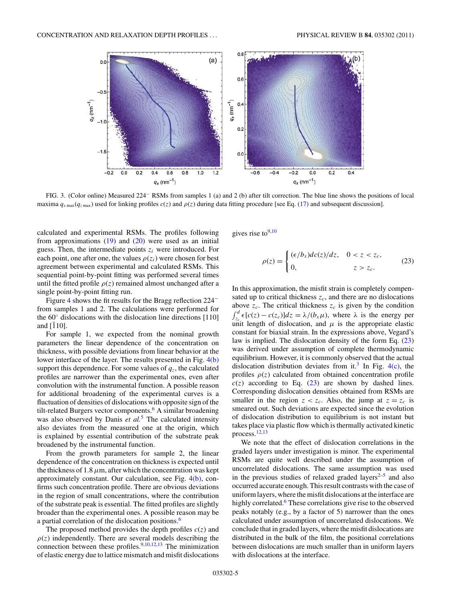<span id="page-4-0"></span>

FIG. 3. (Color online) Measured 224<sup>−</sup> RSMs from samples 1 (a) and 2 (b) after tilt correction. The blue line shows the positions of local maxima  $q_{x \text{max}}(q_{z \text{max}})$  used for linking profiles  $c(z)$  and  $\rho(z)$  during data fitting procedure [see Eq. [\(17\)](#page-2-0) and subsequent discussion].

calculated and experimental RSMs. The profiles following from approximations  $(19)$  and  $(20)$  were used as an initial guess. Then, the intermediate points  $z_i$  were introduced. For each point, one after one, the values  $\rho(z_i)$  were chosen for best agreement between experimental and calculated RSMs. This sequential point-by-point fitting was performed several times until the fitted profile  $\rho(z)$  remained almost unchanged after a single point-by-point fitting run.

Figure [4](#page-5-0) shows the fit results for the Bragg reflection 224<sup>−</sup> from samples 1 and 2. The calculations were performed for the  $60°$  dislocations with the dislocation line directions [110] and  $\overline{1}10$ .

For sample 1, we expected from the nominal growth parameters the linear dependence of the concentration on thickness, with possible deviations from linear behavior at the lower interface of the layer. The results presented in Fig. [4\(b\)](#page-5-0) support this dependence. For some values of  $q<sub>z</sub>$ , the calculated profiles are narrower than the experimental ones, even after convolution with the instrumental function. A possible reason for additional broadening of the experimental curves is a fluctuation of densities of dislocations with opposite sign of the tilt-related Burgers vector components. $6$  A similar broadening was also observed by Danis *et al.*<sup>[5](#page-6-0)</sup> The calculated intensity also deviates from the measured one at the origin, which is explained by essential contribution of the substrate peak broadened by the instrumental function.

From the growth parameters for sample 2, the linear dependence of the concentration on thickness is expected until the thickness of 1.8  $\mu$ m, after which the concentration was kept approximately constant. Our calculation, see Fig. [4\(b\),](#page-5-0) confirms such concentration profile. There are obvious deviations in the region of small concentrations, where the contribution of the substrate peak is essential. The fitted profiles are slightly broader than the experimental ones. A possible reason may be a partial correlation of the dislocation positions.[6](#page-6-0)

The proposed method provides the depth profiles  $c(z)$  and  $\rho(z)$  independently. There are several models describing the connection between these profiles.<sup>[9,10,12,13](#page-6-0)</sup> The minimization of elastic energy due to lattice mismatch and misfit dislocations gives rise to  $9,10$ 

$$
\rho(z) = \begin{cases} (\epsilon/b_x)dc(z)/dz, & 0 < z < z_c, \\ 0, & z > z_c. \end{cases}
$$
 (23)

In this approximation, the misfit strain is completely compensated up to critical thickness  $z_c$ , and there are no dislocations above  $z_c$ . The critical thickness  $z_c$  is given by the condition  $\int_{z_c}^{d} \epsilon [c(z) - c(z_c)] dz = \lambda / (b_x \mu)$ , where  $\lambda$  is the energy per unit length of dislocation, and  $\mu$  is the appropriate elastic constant for biaxial strain. In the expressions above, Vegard's law is implied. The dislocation density of the form Eq. (23) was derived under assumption of complete thermodynamic equilibrium. However, it is commonly observed that the actual dislocation distribution deviates from it.<sup>[3](#page-6-0)</sup> In Fig.  $4(c)$ , the profiles  $\rho(z)$  calculated from obtained concentration profile  $c(z)$  according to Eq. (23) are shown by dashed lines. Corresponding dislocation densities obtained from RSMs are smaller in the region  $z < z_c$ . Also, the jump at  $z = z_c$  is smeared out. Such deviations are expected since the evolution of dislocation distribution to equilibrium is not instant but takes place via plastic flow which is thermally activated kinetic process[.12,13](#page-6-0)

We note that the effect of dislocation correlations in the graded layers under investigation is minor. The experimental RSMs are quite well described under the assumption of uncorrelated dislocations. The same assumption was used in the previous studies of relaxed graded layers<sup> $2-5$ </sup> and also occurred accurate enough. This result contrasts with the case of uniform layers, where the misfit dislocations at the interface are highly correlated.<sup>[6](#page-6-0)</sup> These correlations give rise to the observed peaks notably (e.g., by a factor of 5) narrower than the ones calculated under assumption of uncorrelated dislocations. We conclude that in graded layers, where the misfit dislocations are distributed in the bulk of the film, the positional correlations between dislocations are much smaller than in uniform layers with dislocations at the interface.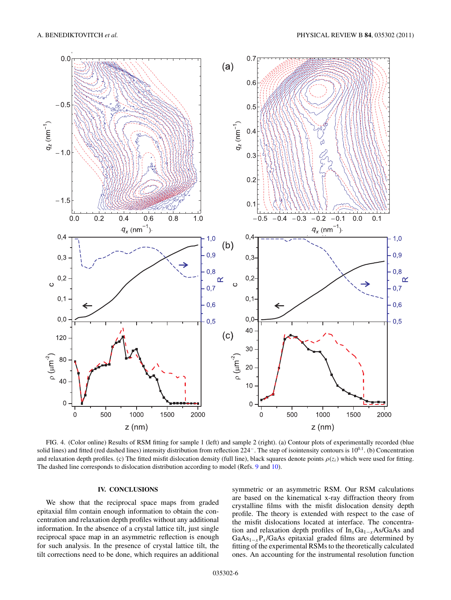<span id="page-5-0"></span>

FIG. 4. (Color online) Results of RSM fitting for sample 1 (left) and sample 2 (right). (a) Contour plots of experimentally recorded (blue solid lines) and fitted (red dashed lines) intensity distribution from reflection 224<sup>−</sup>. The step of isointensity contours is 100*.*1. (b) Concentration and relaxation depth profiles. (c) The fitted misfit dislocation density (full line), black squares denote points  $\rho(z_i)$  which were used for fitting. The dashed line corresponds to dislocation distribution according to model (Refs. [9](#page-6-0) and [10\)](#page-6-0).

### **IV. CONCLUSIONS**

We show that the reciprocal space maps from graded epitaxial film contain enough information to obtain the concentration and relaxation depth profiles without any additional information. In the absence of a crystal lattice tilt, just single reciprocal space map in an asymmetric reflection is enough for such analysis. In the presence of crystal lattice tilt, the tilt corrections need to be done, which requires an additional symmetric or an asymmetric RSM. Our RSM calculations are based on the kinematical x-ray diffraction theory from crystalline films with the misfit dislocation density depth profile. The theory is extended with respect to the case of the misfit dislocations located at interface. The concentration and relaxation depth profiles of In<sub>*x*</sub>Ga<sub>1−*x*</sub>As/GaAs and GaAs1<sup>−</sup>*x*P*<sup>x</sup>* /GaAs epitaxial graded films are determined by fitting of the experimental RSMs to the theoretically calculated ones. An accounting for the instrumental resolution function